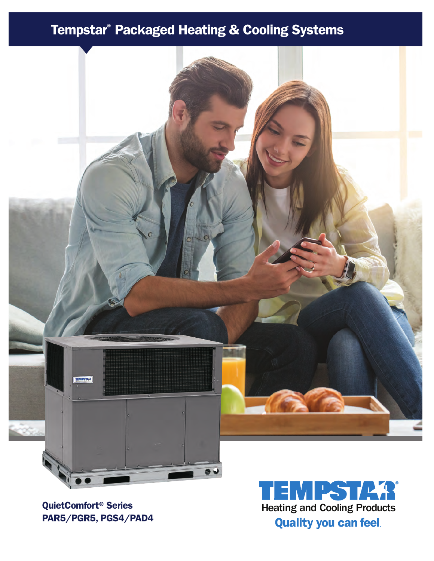# Tempstar® Packaged Heating & Cooling Systems



PAR5/PGR5, PGS4/PAD4

 $\mathbf q$ QuietComfort® Series **Heating and Cooling Products Quality you can feel.**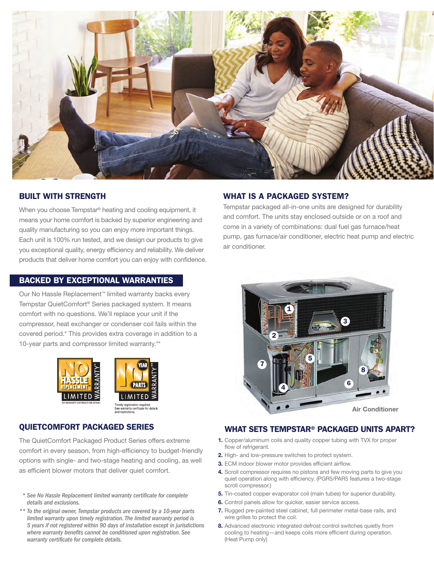

## BUILT WITH STRENGTH

When you choose Tempstar® heating and cooling equipment, it means your home comfort is backed by superior engineering and quality manufacturing so you can enjoy more important things. Each unit is 100% run tested, and we design our products to give you exceptional quality, energy efficiency and reliability. We deliver products that deliver home comfort you can enjoy with confidence.

#### BACKED BY EXCEPTIONAL WARRANTIES

Our No Hassle Replacement™ limited warranty backs every Tempstar QuietComfort® Series packaged system. It means comfort with no questions. We'll replace your unit if the compressor, heat exchanger or condenser coil fails within the covered period.\* This provides extra coverage in addition to a 10-year parts and compressor limited warranty.\*\*





#### QUIETCOMFORT PACKAGED SERIES

The QuietComfort Packaged Product Series offers extreme comfort in every season, from high-efficiency to budget-friendly options with single- and two-stage heating and cooling, as well as efficient blower motors that deliver quiet comfort.

- *\* See No Hassle Replacement limited warranty certificate for complete details and exclusions.*
- *\*\* To the original owner, Tempstar products are covered by a 10-year parts limited warranty upon timely registration. The limited warranty period is 5 years if not registered within 90 days of installation except in jurisdictions where warranty benefits cannot be conditioned upon registration. See warranty certificate for complete details.*

## WHAT IS A PACKAGED SYSTEM?

Tempstar packaged all-in-one units are designed for durability and comfort. The units stay enclosed outside or on a roof and come in a variety of combinations: dual fuel gas furnace/heat pump, gas furnace/air conditioner, electric heat pump and electric air conditioner.



## WHAT SETS TEMPSTAR® PACKAGED UNITS APART?

- 1. Copper/aluminum coils and quality copper tubing with TVX for proper flow of refrigerant.
- 2. High- and low-pressure switches to protect system.
- 3. ECM indoor blower motor provides efficient airflow.
- 4. Scroll compressor requires no pistons and few moving parts to give you quiet operation along with efficiency. (PGR5/PAR5 features a two-stage scroll compressor.)
- 5. Tin-coated copper evaporator coil (main tubes) for superior durability.
- 6. Control panels allow for quicker, easier service access.
- 7. Rugged pre-painted steel cabinet, full perimeter metal-base rails, and wire grilles to protect the coil.
- 8. Advanced electronic integrated defrost control switches quietly from cooling to heating—and keeps coils more efficient during operation. (Heat Pump only)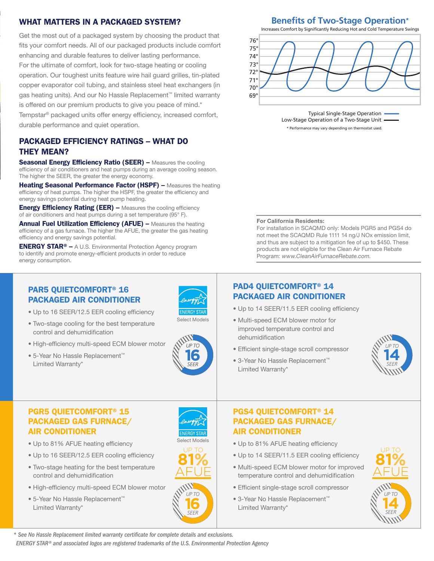# WHAT MATTERS IN A PACKAGED SYSTEM?

Get the most out of a packaged system by choosing the product that fits your comfort needs. All of our packaged products include comfort enhancing and durable features to deliver lasting performance. For the ultimate of comfort, look for two-stage heating or cooling operation. Our toughest units feature wire hail guard grilles, tin-plated copper evaporator coil tubing, and stainless steel heat exchangers (in gas heating units). And our No Hassle Replacement™ limited warranty is offered on our premium products to give you peace of mind.\* Tempstar® packaged units offer energy efficiency, increased comfort, durable performance and quiet operation.

# PACKAGED EFFICIENCY RATINGS – WHAT DO THEY MEAN?

Seasonal Energy Efficiency Ratio (SEER) – Measures the cooling efficiency of air conditioners and heat pumps during an average cooling season. The higher the SEER, the greater the energy economy.

Heating Seasonal Performance Factor (HSPF) – Measures the heating efficiency of heat pumps. The higher the HSPF, the greater the efficiency and energy savings potential during heat pump heating.

**Energy Efficiency Rating (EER) - Measures the cooling efficiency** of air conditioners and heat pumps during a set temperature (95° F).

**Annual Fuel Utilization Efficiency (AFUE) –** Measures the heating efficiency of a gas furnace. The higher the AFUE, the greater the gas heating efficiency and energy savings potential.

ENERGY STAR® – A U.S. Environmental Protection Agency program to identify and promote energy-efficient products in order to reduce energy consumption.

#### PAR5 QUIETCOMFORT® 16 PACKAGED AIR CONDITIONER

- Up to 16 SEER/12.5 EER cooling efficiency
- Two-stage cooling for the best temperature control and dehumidification
- High-efficiency multi-speed ECM blower motor
- 5-Year No Hassle Replacement™ Limited Warranty\*



Select Models

**16** *SEER UP TO*

**81** LIP TO

Select Models

# PGR5 QUIETCOMFORT® 15 PACKAGED GAS FURNACE/ AIR CONDITIONER

- Up to 81% AFUE heating efficiency
- Up to 16 SEER/12.5 EER cooling efficiency
- Two-stage heating for the best temperature control and dehumidification
- High-efficiency multi-speed ECM blower motor
- 5-Year No Hassle Replacement™ Limited Warranty\*



```
Benefits of Two-Stage Operation*
Increases Comfort by Significantly Reducing Hot and Cold Temperature Swings
```


Typical Single-Stage Operation Low-Stage Operation of a Two-Stage Unit \* Performance may vary depending on thermostat used.

#### For California Residents:

For installation in SCAQMD only: Models PGR5 and PGS4 do not meet the SCAQMD Rule 1111 14 ng/J NOx emission limit, and thus are subject to a mitigation fee of up to \$450. These products are not eligible for the Clean Air Furnace Rebate Program: www.CleanAirFurnaceRebate.com.

# PAD4 QUIETCOMFORT® 14 PACKAGED AIR CONDITIONER

- Up to 14 SEER/11.5 EER cooling efficiency
- Multi-speed ECM blower motor for improved temperature control and dehumidification
- Efficient single-stage scroll compressor
- 3-Year No Hassle Replacement™ Limited Warranty\*



# PGS4 QUIETCOMFORT® 14 PACKAGED GAS FURNACE/ AIR CONDITIONER

- Up to 81% AFUE heating efficiency
- Up to 14 SEER/11.5 EER cooling efficiency
- Multi-speed ECM blower motor for improved temperature control and dehumidification
- Efficient single-stage scroll compressor
- 3-Year No Hassle Replacement™ Limited Warranty\*



*ENERGY STAR® and associated logos are registered trademarks of the U.S. Environmental Protection Agency \* See No Hassle Replacement limited warranty certificate for complete details and exclusions.*